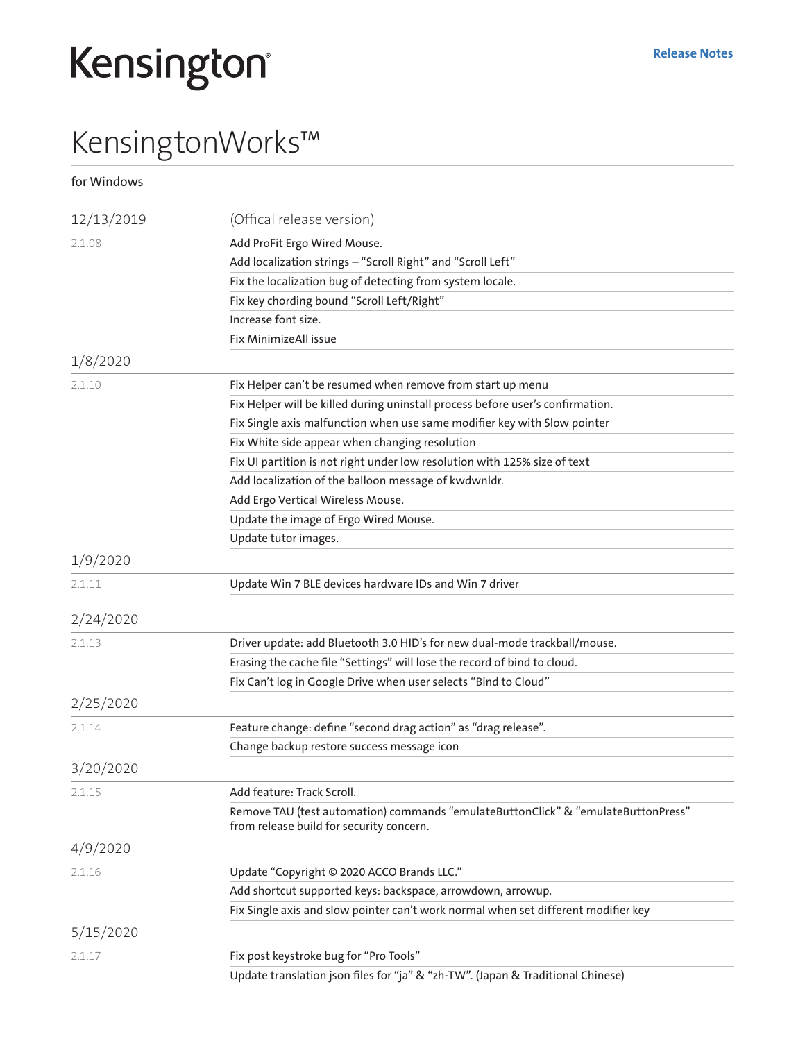## Kensington®

## KensingtonWorks™

for Windows

| 12/13/2019 | (Offical release version)                                                                                                     |
|------------|-------------------------------------------------------------------------------------------------------------------------------|
| 2.1.08     | Add ProFit Ergo Wired Mouse.                                                                                                  |
|            | Add localization strings - "Scroll Right" and "Scroll Left"                                                                   |
|            | Fix the localization bug of detecting from system locale.                                                                     |
|            | Fix key chording bound "Scroll Left/Right"                                                                                    |
|            | Increase font size.                                                                                                           |
|            | Fix MinimizeAll issue                                                                                                         |
| 1/8/2020   |                                                                                                                               |
| 2.1.10     | Fix Helper can't be resumed when remove from start up menu                                                                    |
|            | Fix Helper will be killed during uninstall process before user's confirmation.                                                |
|            | Fix Single axis malfunction when use same modifier key with Slow pointer                                                      |
|            | Fix White side appear when changing resolution                                                                                |
|            | Fix UI partition is not right under low resolution with 125% size of text                                                     |
|            | Add localization of the balloon message of kwdwnldr.                                                                          |
|            | Add Ergo Vertical Wireless Mouse.                                                                                             |
|            | Update the image of Ergo Wired Mouse.                                                                                         |
|            | Update tutor images.                                                                                                          |
| 1/9/2020   |                                                                                                                               |
| 2.1.11     | Update Win 7 BLE devices hardware IDs and Win 7 driver                                                                        |
| 2/24/2020  |                                                                                                                               |
| 2.1.13     | Driver update: add Bluetooth 3.0 HID's for new dual-mode trackball/mouse.                                                     |
|            | Erasing the cache file "Settings" will lose the record of bind to cloud.                                                      |
|            | Fix Can't log in Google Drive when user selects "Bind to Cloud"                                                               |
| 2/25/2020  |                                                                                                                               |
| 2.1.14     | Feature change: define "second drag action" as "drag release".                                                                |
|            | Change backup restore success message icon                                                                                    |
| 3/20/2020  |                                                                                                                               |
| 2.1.15     | Add feature: Track Scroll.                                                                                                    |
|            | Remove TAU (test automation) commands "emulateButtonClick" & "emulateButtonPress"<br>from release build for security concern. |
| 4/9/2020   |                                                                                                                               |
| 2.1.16     | Update "Copyright © 2020 ACCO Brands LLC."                                                                                    |
|            | Add shortcut supported keys: backspace, arrowdown, arrowup.                                                                   |
|            | Fix Single axis and slow pointer can't work normal when set different modifier key                                            |
| 5/15/2020  |                                                                                                                               |
| 2.1.17     | Fix post keystroke bug for "Pro Tools"                                                                                        |
|            | Update translation json files for "ja" & "zh-TW". (Japan & Traditional Chinese)                                               |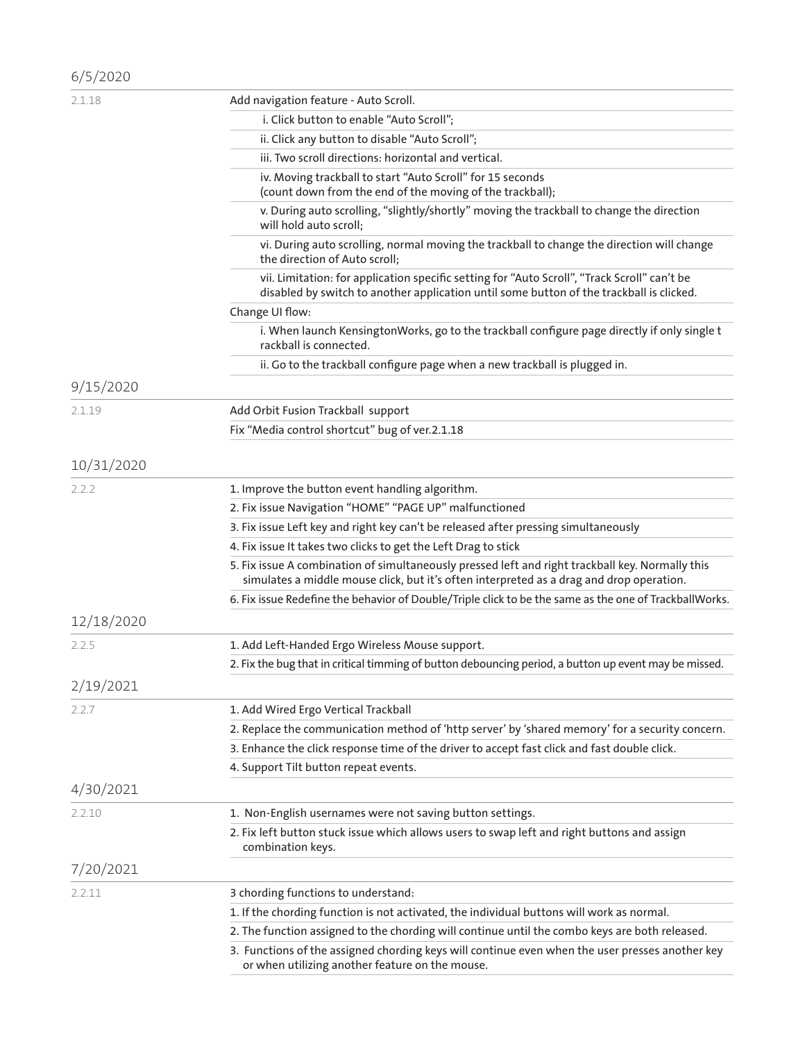| 6/5/2020   |                                                                                                                                                                                              |
|------------|----------------------------------------------------------------------------------------------------------------------------------------------------------------------------------------------|
| 2.1.18     | Add navigation feature - Auto Scroll.                                                                                                                                                        |
|            | i. Click button to enable "Auto Scroll";                                                                                                                                                     |
|            | ii. Click any button to disable "Auto Scroll";                                                                                                                                               |
|            | iii. Two scroll directions: horizontal and vertical.                                                                                                                                         |
|            | iv. Moving trackball to start "Auto Scroll" for 15 seconds<br>(count down from the end of the moving of the trackball);                                                                      |
|            | v. During auto scrolling, "slightly/shortly" moving the trackball to change the direction<br>will hold auto scroll;                                                                          |
|            | vi. During auto scrolling, normal moving the trackball to change the direction will change<br>the direction of Auto scroll;                                                                  |
|            | vii. Limitation: for application specific setting for "Auto Scroll", "Track Scroll" can't be<br>disabled by switch to another application until some button of the trackball is clicked.     |
|            | Change UI flow:                                                                                                                                                                              |
|            | i. When launch KensingtonWorks, go to the trackball configure page directly if only single t<br>rackball is connected.                                                                       |
|            | ii. Go to the trackball configure page when a new trackball is plugged in.                                                                                                                   |
| 9/15/2020  |                                                                                                                                                                                              |
| 2.1.19     | Add Orbit Fusion Trackball support                                                                                                                                                           |
|            | Fix "Media control shortcut" bug of ver.2.1.18                                                                                                                                               |
| 10/31/2020 |                                                                                                                                                                                              |
| 2.2.2      | 1. Improve the button event handling algorithm.                                                                                                                                              |
|            | 2. Fix issue Navigation "HOME" "PAGE UP" malfunctioned                                                                                                                                       |
|            | 3. Fix issue Left key and right key can't be released after pressing simultaneously                                                                                                          |
|            | 4. Fix issue It takes two clicks to get the Left Drag to stick                                                                                                                               |
|            | 5. Fix issue A combination of simultaneously pressed left and right trackball key. Normally this<br>simulates a middle mouse click, but it's often interpreted as a drag and drop operation. |
|            | 6. Fix issue Redefine the behavior of Double/Triple click to be the same as the one of TrackballWorks.                                                                                       |
| 12/18/2020 |                                                                                                                                                                                              |
| 2.2.5      | 1. Add Left-Handed Ergo Wireless Mouse support.                                                                                                                                              |
|            | 2. Fix the bug that in critical timming of button debouncing period, a button up event may be missed.                                                                                        |
| 2/19/2021  |                                                                                                                                                                                              |
| 2.2.7      | 1. Add Wired Ergo Vertical Trackball                                                                                                                                                         |
|            | 2. Replace the communication method of 'http server' by 'shared memory' for a security concern.                                                                                              |
|            | 3. Enhance the click response time of the driver to accept fast click and fast double click.                                                                                                 |
|            | 4. Support Tilt button repeat events.                                                                                                                                                        |
| 4/30/2021  |                                                                                                                                                                                              |
| 2.2.10     | 1. Non-English usernames were not saving button settings.                                                                                                                                    |
|            | 2. Fix left button stuck issue which allows users to swap left and right buttons and assign<br>combination keys.                                                                             |
| 7/20/2021  |                                                                                                                                                                                              |
| 2.2.11     | 3 chording functions to understand:                                                                                                                                                          |
|            | 1. If the chording function is not activated, the individual buttons will work as normal.                                                                                                    |
|            | 2. The function assigned to the chording will continue until the combo keys are both released.                                                                                               |
|            | 3. Functions of the assigned chording keys will continue even when the user presses another key<br>or when utilizing another feature on the mouse.                                           |